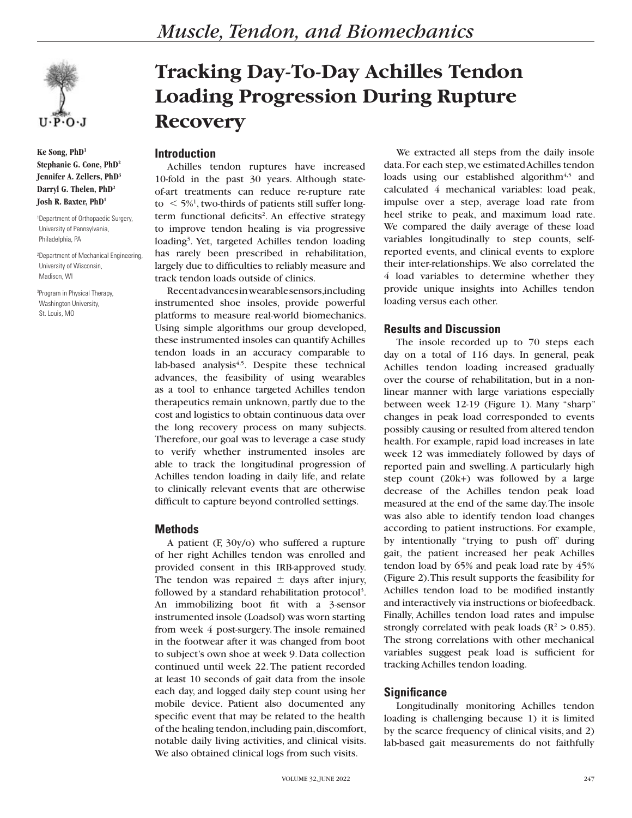**Ke Song, PhD1 Stephanie G. Cone, PhD2 Jennifer A. Zellers, PhD3 Darryl G. Thelen, PhD2 Josh R. Baxter, PhD1**

1 Department of Orthopaedic Surgery, University of Pennsylvania, Philadelphia, PA

2 Department of Mechanical Engineering, University of Wisconsin, Madison, WI

3 Program in Physical Therapy, Washington University, St. Louis, MO

# **Tracking Day-To-Day Achilles Tendon Loading Progression During Rupture Recovery**

## **Introduction**

Achilles tendon ruptures have increased 10-fold in the past 30 years. Although stateof-art treatments can reduce re-rupture rate  $\tau$  to  $\tau$  5%<sup>1</sup>, two-thirds of patients still suffer longterm functional deficits<sup>2</sup>. An effective strategy to improve tendon healing is via progressive loading<sup>3</sup>. Yet, targeted Achilles tendon loading has rarely been prescribed in rehabilitation, largely due to difficulties to reliably measure and track tendon loads outside of clinics.

Recent advances in wearable sensors, including instrumented shoe insoles, provide powerful platforms to measure real-world biomechanics. Using simple algorithms our group developed, these instrumented insoles can quantify Achilles tendon loads in an accuracy comparable to lab-based analysis $4,5$ . Despite these technical advances, the feasibility of using wearables as a tool to enhance targeted Achilles tendon therapeutics remain unknown, partly due to the cost and logistics to obtain continuous data over the long recovery process on many subjects. Therefore, our goal was to leverage a case study to verify whether instrumented insoles are able to track the longitudinal progression of Achilles tendon loading in daily life, and relate to clinically relevant events that are otherwise difficult to capture beyond controlled settings.

## **Methods**

A patient (F, 30y/o) who suffered a rupture of her right Achilles tendon was enrolled and provided consent in this IRB-approved study. The tendon was repaired  $\pm$  days after injury, followed by a standard rehabilitation protocol<sup>3</sup>. An immobilizing boot fit with a 3-sensor instrumented insole (Loadsol) was worn starting from week 4 post-surgery. The insole remained in the footwear after it was changed from boot to subject's own shoe at week 9. Data collection continued until week 22. The patient recorded at least 10 seconds of gait data from the insole each day, and logged daily step count using her mobile device. Patient also documented any specific event that may be related to the health of the healing tendon, including pain, discomfort, notable daily living activities, and clinical visits. We also obtained clinical logs from such visits.

We extracted all steps from the daily insole data. For each step, we estimated Achilles tendon loads using our established algorithm<sup>4,5</sup> and calculated 4 mechanical variables: load peak, impulse over a step, average load rate from heel strike to peak, and maximum load rate. We compared the daily average of these load variables longitudinally to step counts, selfreported events, and clinical events to explore their inter-relationships. We also correlated the 4 load variables to determine whether they provide unique insights into Achilles tendon loading versus each other.

# **Results and Discussion**

The insole recorded up to 70 steps each day on a total of 116 days. In general, peak Achilles tendon loading increased gradually over the course of rehabilitation, but in a nonlinear manner with large variations especially between week 12-19 (Figure 1). Many "sharp" changes in peak load corresponded to events possibly causing or resulted from altered tendon health. For example, rapid load increases in late week 12 was immediately followed by days of reported pain and swelling. A particularly high step count (20k+) was followed by a large decrease of the Achilles tendon peak load measured at the end of the same day. The insole was also able to identify tendon load changes according to patient instructions. For example, by intentionally "trying to push off' during gait, the patient increased her peak Achilles tendon load by 65% and peak load rate by 45% (Figure 2). This result supports the feasibility for Achilles tendon load to be modified instantly and interactively via instructions or biofeedback. Finally, Achilles tendon load rates and impulse strongly correlated with peak loads ( $\mathbb{R}^2 > 0.85$ ). The strong correlations with other mechanical variables suggest peak load is sufficient for tracking Achilles tendon loading.

# **Significance**

Longitudinally monitoring Achilles tendon loading is challenging because 1) it is limited by the scarce frequency of clinical visits, and 2) lab-based gait measurements do not faithfully